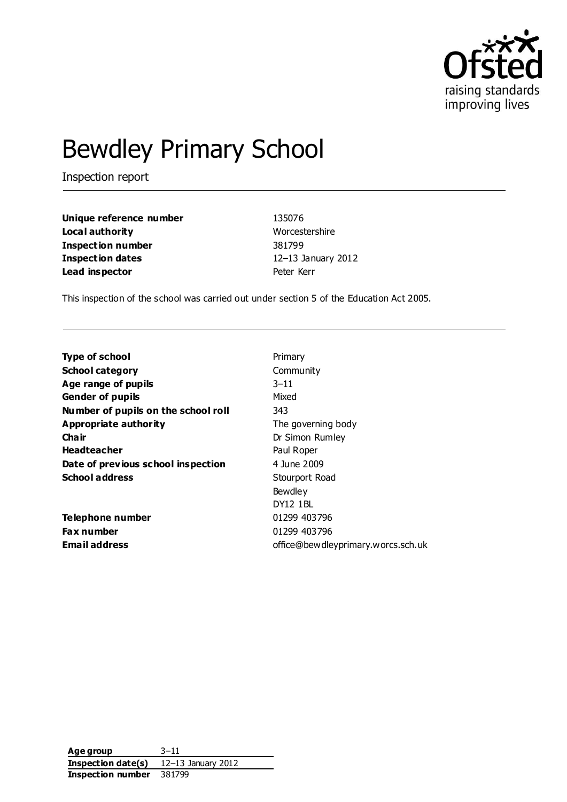

# Bewdley Primary School

Inspection report

| Unique reference number  | 135076             |
|--------------------------|--------------------|
| Local authority          | Worcestershire     |
| <b>Inspection number</b> | 381799             |
| <b>Inspection dates</b>  | 12-13 January 2012 |
| Lead inspector           | Peter Kerr         |

This inspection of the school was carried out under section 5 of the Education Act 2005.

| <b>Type of school</b>               | Primary                            |
|-------------------------------------|------------------------------------|
| <b>School category</b>              | Community                          |
| Age range of pupils                 | $3 - 11$                           |
| <b>Gender of pupils</b>             | Mixed                              |
| Number of pupils on the school roll | 343                                |
| Appropriate authority               | The governing body                 |
| Cha ir                              | Dr Simon Rumley                    |
| <b>Headteacher</b>                  | Paul Roper                         |
| Date of previous school inspection  | 4 June 2009                        |
| <b>School address</b>               | Stourport Road                     |
|                                     | Bewdley                            |
|                                     | DY12 1BL                           |
| Telephone number                    | 01299 403796                       |
| <b>Fax number</b>                   | 01299 403796                       |
| <b>Email address</b>                | office@bewdleyprimary.worcs.sch.uk |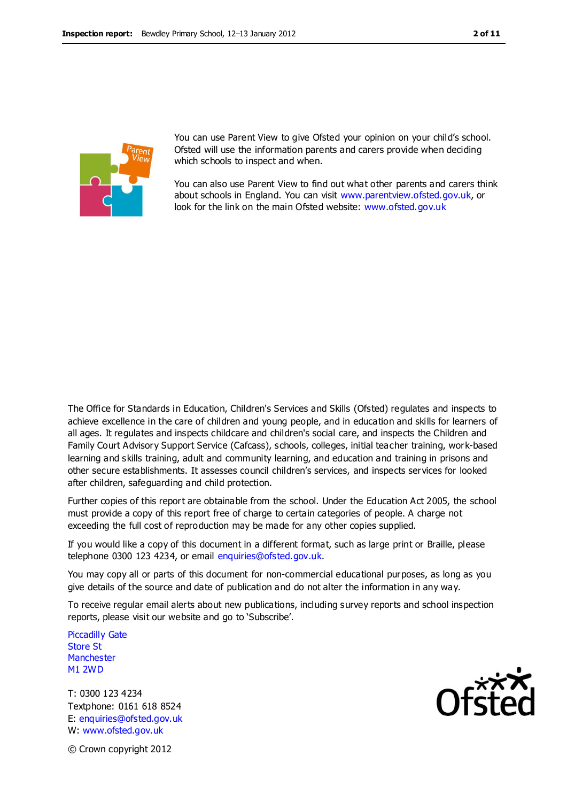

You can use Parent View to give Ofsted your opinion on your child's school. Ofsted will use the information parents and carers provide when deciding which schools to inspect and when.

You can also use Parent View to find out what other parents and carers think about schools in England. You can visit [www.parentview.ofsted.gov.uk,](http://www.parentview.ofsted.gov.uk/) or look for the link on the main Ofsted website: [www.ofsted.gov.uk](http://www.ofsted.gov.uk/)

The Office for Standards in Education, Children's Services and Skills (Ofsted) regulates and inspects to achieve excellence in the care of children and young people, and in education and skills for learners of all ages. It regulates and inspects childcare and children's social care, and inspects the Children and Family Court Advisory Support Service (Cafcass), schools, colleges, initial teacher training, work-based learning and skills training, adult and community learning, and education and training in prisons and other secure establishments. It assesses council children's services, and inspects services for looked after children, safeguarding and child protection.

Further copies of this report are obtainable from the school. Under the Education Act 2005, the school must provide a copy of this report free of charge to certain categories of people. A charge not exceeding the full cost of reproduction may be made for any other copies supplied.

If you would like a copy of this document in a different format, such as large print or Braille, please telephone 0300 123 4234, or email enquiries@ofsted.gov.uk.

You may copy all or parts of this document for non-commercial educational purposes, as long as you give details of the source and date of publication and do not alter the information in any way.

To receive regular email alerts about new publications, including survey reports and school inspection reports, please visit our website and go to 'Subscribe'.

Piccadilly Gate Store St **Manchester** M1 2WD

T: 0300 123 4234 Textphone: 0161 618 8524 E: enquiries@ofsted.gov.uk W: www.ofsted.gov.uk



© Crown copyright 2012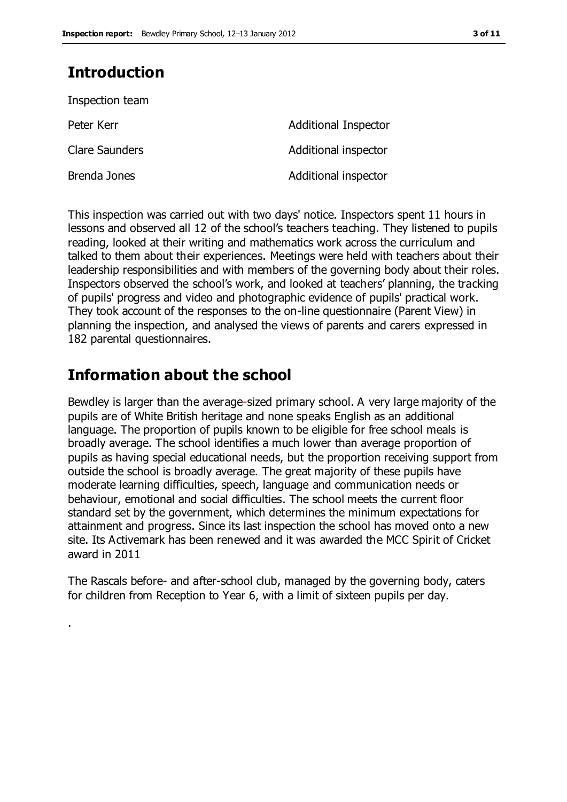# **Introduction**

.

| Inspection team       |                             |
|-----------------------|-----------------------------|
| Peter Kerr            | <b>Additional Inspector</b> |
| <b>Clare Saunders</b> | Additional inspector        |
| Brenda Jones          | Additional inspector        |

This inspection was carried out with two days' notice. Inspectors spent 11 hours in lessons and observed all 12 of the school's teachers teaching. They listened to pupils reading, looked at their writing and mathematics work across the curriculum and talked to them about their experiences. Meetings were held with teachers about their leadership responsibilities and with members of the governing body about their roles. Inspectors observed the school's work, and looked at teachers' planning, the tracking of pupils' progress and video and photographic evidence of pupils' practical work. They took account of the responses to the on-line questionnaire (Parent View) in planning the inspection, and analysed the views of parents and carers expressed in 182 parental questionnaires.

# **Information about the school**

Bewdley is larger than the average-sized primary school. A very large majority of the pupils are of White British heritage and none speaks English as an additional language. The proportion of pupils known to be eligible for free school meals is broadly average. The school identifies a much lower than average proportion of pupils as having special educational needs, but the proportion receiving support from outside the school is broadly average. The great majority of these pupils have moderate learning difficulties, speech, language and communication needs or behaviour, emotional and social difficulties. The school meets the current floor standard set by the government, which determines the minimum expectations for attainment and progress. Since its last inspection the school has moved onto a new site. Its Activemark has been renewed and it was awarded the MCC Spirit of Cricket award in 2011

The Rascals before- and after-school club, managed by the governing body, caters for children from Reception to Year 6, with a limit of sixteen pupils per day.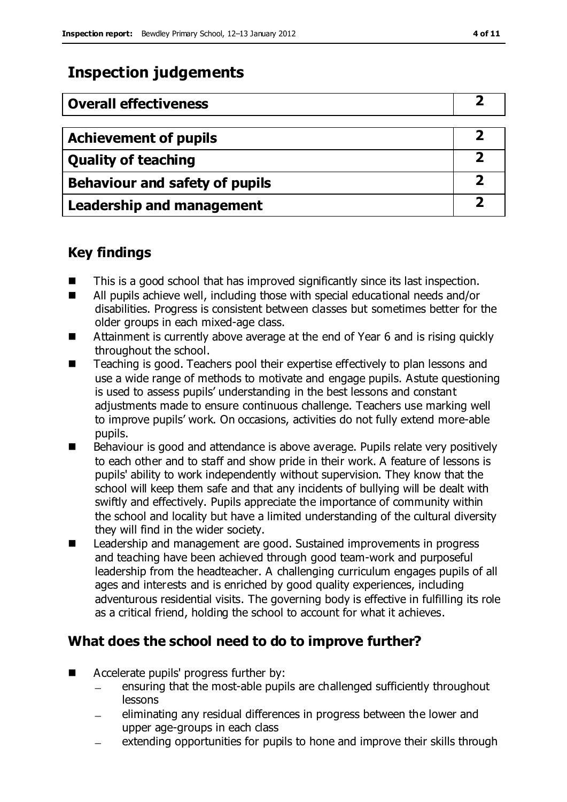# **Inspection judgements**

| <b>Overall effectiveness</b>          |  |
|---------------------------------------|--|
|                                       |  |
| <b>Achievement of pupils</b>          |  |
| <b>Quality of teaching</b>            |  |
| <b>Behaviour and safety of pupils</b> |  |
| <b>Leadership and management</b>      |  |

# **Key findings**

- $\blacksquare$  This is a good school that has improved significantly since its last inspection.
- All pupils achieve well, including those with special educational needs and/or disabilities. Progress is consistent between classes but sometimes better for the older groups in each mixed-age class.
- Attainment is currently above average at the end of Year 6 and is rising quickly throughout the school.
- Teaching is good. Teachers pool their expertise effectively to plan lessons and use a wide range of methods to motivate and engage pupils. Astute questioning is used to assess pupils' understanding in the best lessons and constant adjustments made to ensure continuous challenge. Teachers use marking well to improve pupils' work. On occasions, activities do not fully extend more-able pupils.
- Behaviour is good and attendance is above average. Pupils relate very positively to each other and to staff and show pride in their work. A feature of lessons is pupils' ability to work independently without supervision. They know that the school will keep them safe and that any incidents of bullying will be dealt with swiftly and effectively. Pupils appreciate the importance of community within the school and locality but have a limited understanding of the cultural diversity they will find in the wider society.
- Leadership and management are good. Sustained improvements in progress and teaching have been achieved through good team-work and purposeful leadership from the headteacher. A challenging curriculum engages pupils of all ages and interests and is enriched by good quality experiences, including adventurous residential visits. The governing body is effective in fulfilling its role as a critical friend, holding the school to account for what it achieves.

# **What does the school need to do to improve further?**

- Accelerate pupils' progress further by:
	- ensuring that the most-able pupils are challenged sufficiently throughout lessons
	- eliminating any residual differences in progress between the lower and upper age-groups in each class
	- extending opportunities for pupils to hone and improve their skills through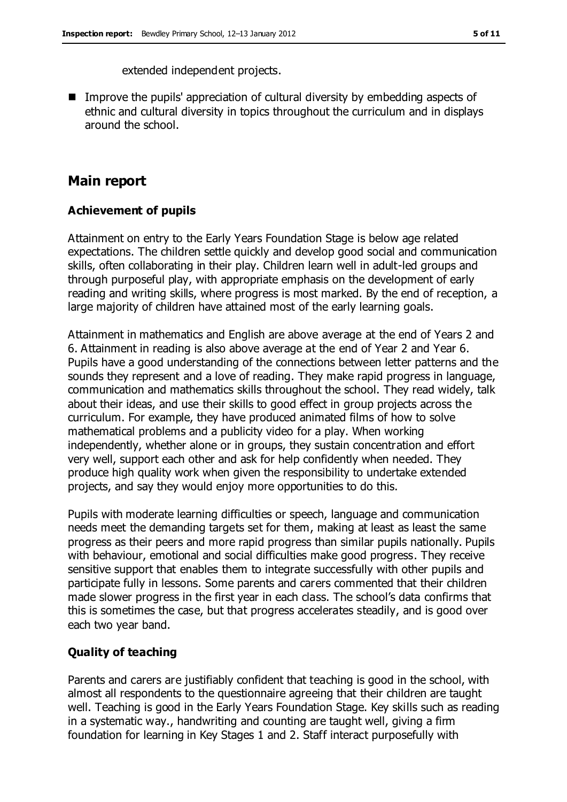extended independent projects.

■ Improve the pupils' appreciation of cultural diversity by embedding aspects of ethnic and cultural diversity in topics throughout the curriculum and in displays around the school.

# **Main report**

#### **Achievement of pupils**

Attainment on entry to the Early Years Foundation Stage is below age related expectations. The children settle quickly and develop good social and communication skills, often collaborating in their play. Children learn well in adult-led groups and through purposeful play, with appropriate emphasis on the development of early reading and writing skills, where progress is most marked. By the end of reception, a large majority of children have attained most of the early learning goals.

Attainment in mathematics and English are above average at the end of Years 2 and 6. Attainment in reading is also above average at the end of Year 2 and Year 6. Pupils have a good understanding of the connections between letter patterns and the sounds they represent and a love of reading. They make rapid progress in language, communication and mathematics skills throughout the school. They read widely, talk about their ideas, and use their skills to good effect in group projects across the curriculum. For example, they have produced animated films of how to solve mathematical problems and a publicity video for a play. When working independently, whether alone or in groups, they sustain concentration and effort very well, support each other and ask for help confidently when needed. They produce high quality work when given the responsibility to undertake extended projects, and say they would enjoy more opportunities to do this.

Pupils with moderate learning difficulties or speech, language and communication needs meet the demanding targets set for them, making at least as least the same progress as their peers and more rapid progress than similar pupils nationally. Pupils with behaviour, emotional and social difficulties make good progress. They receive sensitive support that enables them to integrate successfully with other pupils and participate fully in lessons. Some parents and carers commented that their children made slower progress in the first year in each class. The school's data confirms that this is sometimes the case, but that progress accelerates steadily, and is good over each two year band.

### **Quality of teaching**

Parents and carers are justifiably confident that teaching is good in the school, with almost all respondents to the questionnaire agreeing that their children are taught well. Teaching is good in the Early Years Foundation Stage. Key skills such as reading in a systematic way., handwriting and counting are taught well, giving a firm foundation for learning in Key Stages 1 and 2. Staff interact purposefully with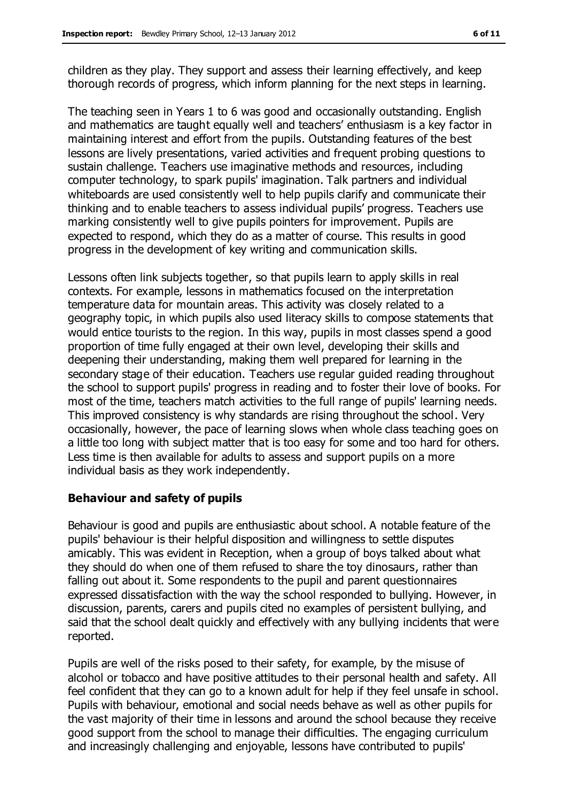children as they play. They support and assess their learning effectively, and keep thorough records of progress, which inform planning for the next steps in learning.

The teaching seen in Years 1 to 6 was good and occasionally outstanding. English and mathematics are taught equally well and teachers' enthusiasm is a key factor in maintaining interest and effort from the pupils. Outstanding features of the best lessons are lively presentations, varied activities and frequent probing questions to sustain challenge. Teachers use imaginative methods and resources, including computer technology, to spark pupils' imagination. Talk partners and individual whiteboards are used consistently well to help pupils clarify and communicate their thinking and to enable teachers to assess individual pupils' progress. Teachers use marking consistently well to give pupils pointers for improvement. Pupils are expected to respond, which they do as a matter of course. This results in good progress in the development of key writing and communication skills.

Lessons often link subjects together, so that pupils learn to apply skills in real contexts. For example, lessons in mathematics focused on the interpretation temperature data for mountain areas. This activity was closely related to a geography topic, in which pupils also used literacy skills to compose statements that would entice tourists to the region. In this way, pupils in most classes spend a good proportion of time fully engaged at their own level, developing their skills and deepening their understanding, making them well prepared for learning in the secondary stage of their education. Teachers use regular guided reading throughout the school to support pupils' progress in reading and to foster their love of books. For most of the time, teachers match activities to the full range of pupils' learning needs. This improved consistency is why standards are rising throughout the school. Very occasionally, however, the pace of learning slows when whole class teaching goes on a little too long with subject matter that is too easy for some and too hard for others. Less time is then available for adults to assess and support pupils on a more individual basis as they work independently.

### **Behaviour and safety of pupils**

Behaviour is good and pupils are enthusiastic about school. A notable feature of the pupils' behaviour is their helpful disposition and willingness to settle disputes amicably. This was evident in Reception, when a group of boys talked about what they should do when one of them refused to share the toy dinosaurs, rather than falling out about it. Some respondents to the pupil and parent questionnaires expressed dissatisfaction with the way the school responded to bullying. However, in discussion, parents, carers and pupils cited no examples of persistent bullying, and said that the school dealt quickly and effectively with any bullying incidents that were reported.

Pupils are well of the risks posed to their safety, for example, by the misuse of alcohol or tobacco and have positive attitudes to their personal health and safety. All feel confident that they can go to a known adult for help if they feel unsafe in school. Pupils with behaviour, emotional and social needs behave as well as other pupils for the vast majority of their time in lessons and around the school because they receive good support from the school to manage their difficulties. The engaging curriculum and increasingly challenging and enjoyable, lessons have contributed to pupils'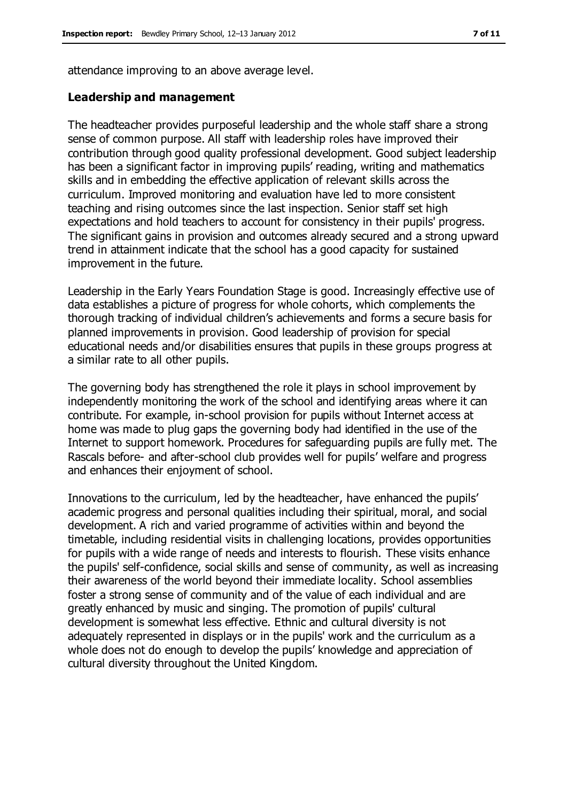attendance improving to an above average level.

#### **Leadership and management**

The headteacher provides purposeful leadership and the whole staff share a strong sense of common purpose. All staff with leadership roles have improved their contribution through good quality professional development. Good subject leadership has been a significant factor in improving pupils' reading, writing and mathematics skills and in embedding the effective application of relevant skills across the curriculum. Improved monitoring and evaluation have led to more consistent teaching and rising outcomes since the last inspection. Senior staff set high expectations and hold teachers to account for consistency in their pupils' progress. The significant gains in provision and outcomes already secured and a strong upward trend in attainment indicate that the school has a good capacity for sustained improvement in the future.

Leadership in the Early Years Foundation Stage is good. Increasingly effective use of data establishes a picture of progress for whole cohorts, which complements the thorough tracking of individual children's achievements and forms a secure basis for planned improvements in provision. Good leadership of provision for special educational needs and/or disabilities ensures that pupils in these groups progress at a similar rate to all other pupils.

The governing body has strengthened the role it plays in school improvement by independently monitoring the work of the school and identifying areas where it can contribute. For example, in-school provision for pupils without Internet access at home was made to plug gaps the governing body had identified in the use of the Internet to support homework. Procedures for safeguarding pupils are fully met. The Rascals before- and after-school club provides well for pupils' welfare and progress and enhances their enjoyment of school.

Innovations to the curriculum, led by the headteacher, have enhanced the pupils' academic progress and personal qualities including their spiritual, moral, and social development. A rich and varied programme of activities within and beyond the timetable, including residential visits in challenging locations, provides opportunities for pupils with a wide range of needs and interests to flourish. These visits enhance the pupils' self-confidence, social skills and sense of community, as well as increasing their awareness of the world beyond their immediate locality. School assemblies foster a strong sense of community and of the value of each individual and are greatly enhanced by music and singing. The promotion of pupils' cultural development is somewhat less effective. Ethnic and cultural diversity is not adequately represented in displays or in the pupils' work and the curriculum as a whole does not do enough to develop the pupils' knowledge and appreciation of cultural diversity throughout the United Kingdom.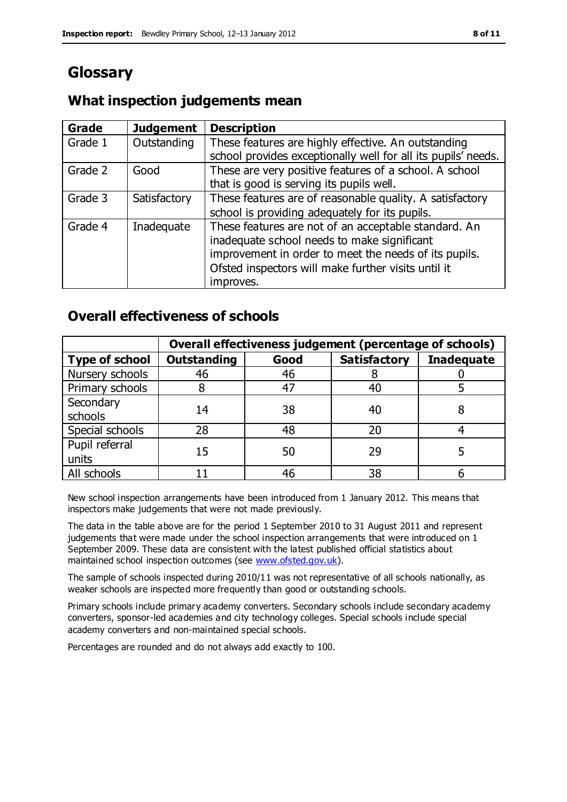# **Glossary**

# **What inspection judgements mean**

| Grade   | <b>Judgement</b> | <b>Description</b>                                            |
|---------|------------------|---------------------------------------------------------------|
| Grade 1 | Outstanding      | These features are highly effective. An outstanding           |
|         |                  | school provides exceptionally well for all its pupils' needs. |
| Grade 2 | Good             | These are very positive features of a school. A school        |
|         |                  | that is good is serving its pupils well.                      |
| Grade 3 | Satisfactory     | These features are of reasonable quality. A satisfactory      |
|         |                  | school is providing adequately for its pupils.                |
| Grade 4 | Inadequate       | These features are not of an acceptable standard. An          |
|         |                  | inadequate school needs to make significant                   |
|         |                  | improvement in order to meet the needs of its pupils.         |
|         |                  | Ofsted inspectors will make further visits until it           |
|         |                  | improves.                                                     |

# **Overall effectiveness of schools**

|                         | Overall effectiveness judgement (percentage of schools) |      |                     |                   |
|-------------------------|---------------------------------------------------------|------|---------------------|-------------------|
| <b>Type of school</b>   | <b>Outstanding</b>                                      | Good | <b>Satisfactory</b> | <b>Inadequate</b> |
| Nursery schools         | 46                                                      | 46   |                     |                   |
| Primary schools         |                                                         | 47   | 40                  |                   |
| Secondary<br>schools    | 14                                                      | 38   | 40                  |                   |
| Special schools         | 28                                                      | 48   | 20                  |                   |
| Pupil referral<br>units | 15                                                      | 50   | 29                  |                   |
| All schools             |                                                         | 46   | 38                  |                   |

New school inspection arrangements have been introduced from 1 January 2012. This means that inspectors make judgements that were not made previously.

The data in the table above are for the period 1 September 2010 to 31 August 2011 and represent judgements that were made under the school inspection arrangements that were introduced on 1 September 2009. These data are consistent with the latest published official statistics about maintained school inspection outcomes (see [www.ofsted.gov.uk\)](http://www.ofsted.gov.uk/).

The sample of schools inspected during 2010/11 was not representative of all schools nationally, as weaker schools are inspected more frequently than good or outstanding schools.

Primary schools include primary academy converters. Secondary schools include secondary academy converters, sponsor-led academies and city technology colleges. Special schools include special academy converters and non-maintained special schools.

Percentages are rounded and do not always add exactly to 100.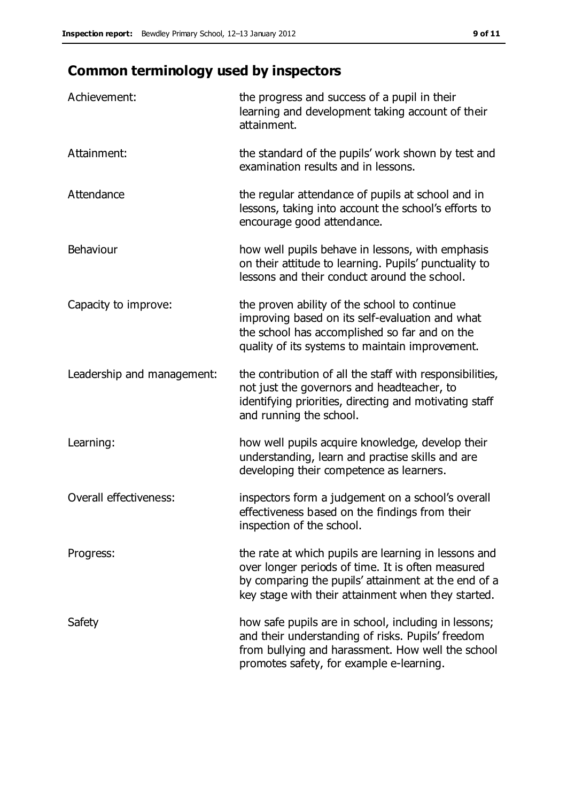# **Common terminology used by inspectors**

| Achievement:                  | the progress and success of a pupil in their<br>learning and development taking account of their<br>attainment.                                                                                                        |
|-------------------------------|------------------------------------------------------------------------------------------------------------------------------------------------------------------------------------------------------------------------|
| Attainment:                   | the standard of the pupils' work shown by test and<br>examination results and in lessons.                                                                                                                              |
| Attendance                    | the regular attendance of pupils at school and in<br>lessons, taking into account the school's efforts to<br>encourage good attendance.                                                                                |
| Behaviour                     | how well pupils behave in lessons, with emphasis<br>on their attitude to learning. Pupils' punctuality to<br>lessons and their conduct around the school.                                                              |
| Capacity to improve:          | the proven ability of the school to continue<br>improving based on its self-evaluation and what<br>the school has accomplished so far and on the<br>quality of its systems to maintain improvement.                    |
| Leadership and management:    | the contribution of all the staff with responsibilities,<br>not just the governors and headteacher, to<br>identifying priorities, directing and motivating staff<br>and running the school.                            |
| Learning:                     | how well pupils acquire knowledge, develop their<br>understanding, learn and practise skills and are<br>developing their competence as learners.                                                                       |
| <b>Overall effectiveness:</b> | inspectors form a judgement on a school's overall<br>effectiveness based on the findings from their<br>inspection of the school.                                                                                       |
| Progress:                     | the rate at which pupils are learning in lessons and<br>over longer periods of time. It is often measured<br>by comparing the pupils' attainment at the end of a<br>key stage with their attainment when they started. |
| Safety                        | how safe pupils are in school, including in lessons;<br>and their understanding of risks. Pupils' freedom<br>from bullying and harassment. How well the school<br>promotes safety, for example e-learning.             |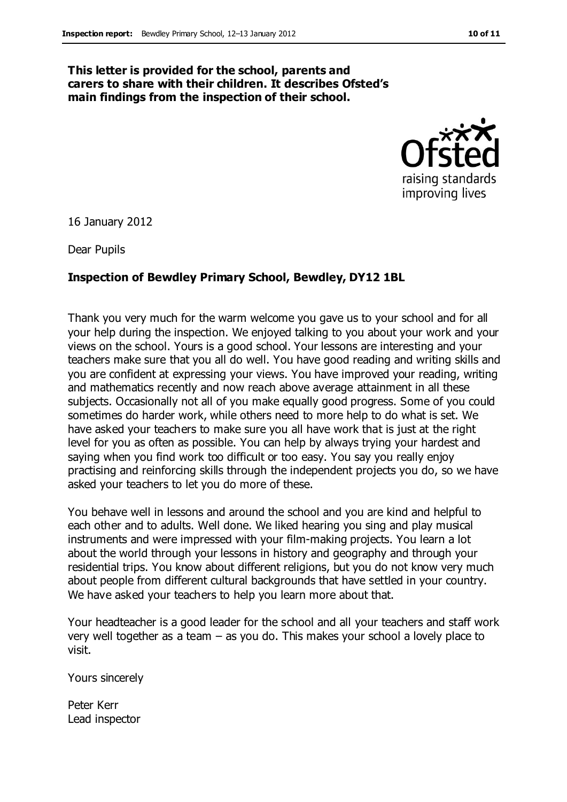#### **This letter is provided for the school, parents and carers to share with their children. It describes Ofsted's main findings from the inspection of their school.**



16 January 2012

Dear Pupils

#### **Inspection of Bewdley Primary School, Bewdley, DY12 1BL**

Thank you very much for the warm welcome you gave us to your school and for all your help during the inspection. We enjoyed talking to you about your work and your views on the school. Yours is a good school. Your lessons are interesting and your teachers make sure that you all do well. You have good reading and writing skills and you are confident at expressing your views. You have improved your reading, writing and mathematics recently and now reach above average attainment in all these subjects. Occasionally not all of you make equally good progress. Some of you could sometimes do harder work, while others need to more help to do what is set. We have asked your teachers to make sure you all have work that is just at the right level for you as often as possible. You can help by always trying your hardest and saying when you find work too difficult or too easy. You say you really enjoy practising and reinforcing skills through the independent projects you do, so we have asked your teachers to let you do more of these.

You behave well in lessons and around the school and you are kind and helpful to each other and to adults. Well done. We liked hearing you sing and play musical instruments and were impressed with your film-making projects. You learn a lot about the world through your lessons in history and geography and through your residential trips. You know about different religions, but you do not know very much about people from different cultural backgrounds that have settled in your country. We have asked your teachers to help you learn more about that.

Your headteacher is a good leader for the school and all your teachers and staff work very well together as a team – as you do. This makes your school a lovely place to visit.

Yours sincerely

Peter Kerr Lead inspector